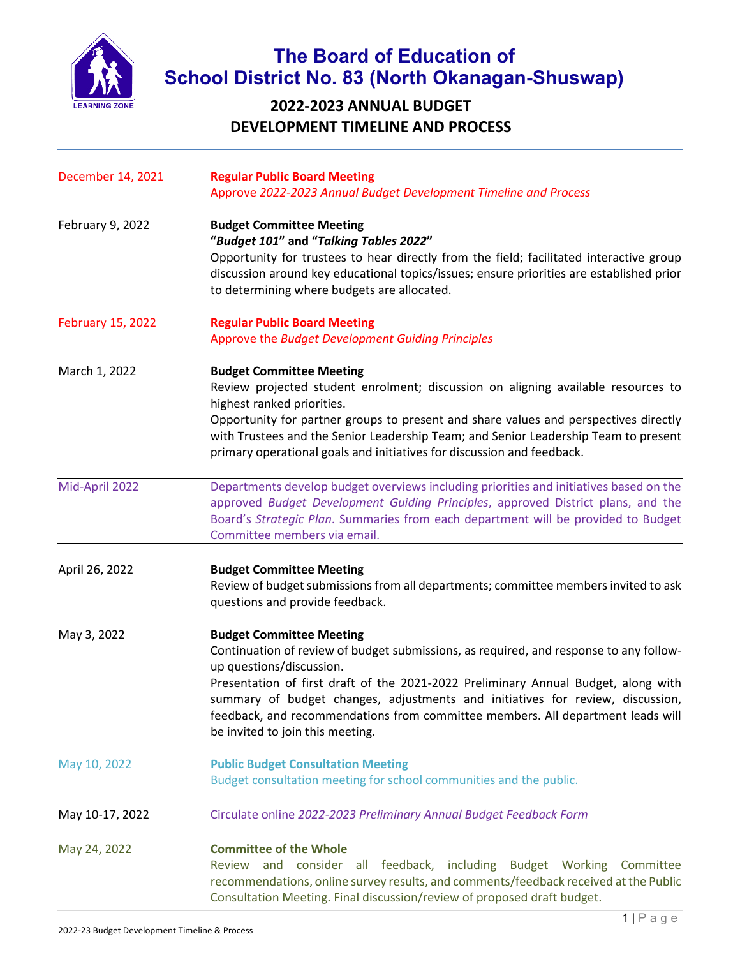

## **The Board of Education of School District No. 83 (North Okanagan-Shuswap)**

## **2022-2023 ANNUAL BUDGET DEVELOPMENT TIMELINE AND PROCESS**

| December 14, 2021        | <b>Regular Public Board Meeting</b><br>Approve 2022-2023 Annual Budget Development Timeline and Process                                                                                                                                                                                                                                                                                                                                              |
|--------------------------|------------------------------------------------------------------------------------------------------------------------------------------------------------------------------------------------------------------------------------------------------------------------------------------------------------------------------------------------------------------------------------------------------------------------------------------------------|
| February 9, 2022         | <b>Budget Committee Meeting</b><br>"Budget 101" and "Talking Tables 2022"<br>Opportunity for trustees to hear directly from the field; facilitated interactive group<br>discussion around key educational topics/issues; ensure priorities are established prior<br>to determining where budgets are allocated.                                                                                                                                      |
| <b>February 15, 2022</b> | <b>Regular Public Board Meeting</b><br>Approve the Budget Development Guiding Principles                                                                                                                                                                                                                                                                                                                                                             |
| March 1, 2022            | <b>Budget Committee Meeting</b><br>Review projected student enrolment; discussion on aligning available resources to<br>highest ranked priorities.<br>Opportunity for partner groups to present and share values and perspectives directly<br>with Trustees and the Senior Leadership Team; and Senior Leadership Team to present<br>primary operational goals and initiatives for discussion and feedback.                                          |
| Mid-April 2022           | Departments develop budget overviews including priorities and initiatives based on the<br>approved Budget Development Guiding Principles, approved District plans, and the<br>Board's Strategic Plan. Summaries from each department will be provided to Budget<br>Committee members via email.                                                                                                                                                      |
| April 26, 2022           | <b>Budget Committee Meeting</b><br>Review of budget submissions from all departments; committee members invited to ask<br>questions and provide feedback.                                                                                                                                                                                                                                                                                            |
| May 3, 2022              | <b>Budget Committee Meeting</b><br>Continuation of review of budget submissions, as required, and response to any follow-<br>up questions/discussion.<br>Presentation of first draft of the 2021-2022 Preliminary Annual Budget, along with<br>summary of budget changes, adjustments and initiatives for review, discussion,<br>feedback, and recommendations from committee members. All department leads will<br>be invited to join this meeting. |
| May 10, 2022             | <b>Public Budget Consultation Meeting</b><br>Budget consultation meeting for school communities and the public.                                                                                                                                                                                                                                                                                                                                      |
| May 10-17, 2022          | Circulate online 2022-2023 Preliminary Annual Budget Feedback Form                                                                                                                                                                                                                                                                                                                                                                                   |
| May 24, 2022             | <b>Committee of the Whole</b><br>Review and consider all feedback, including Budget Working Committee<br>recommendations, online survey results, and comments/feedback received at the Public<br>Consultation Meeting. Final discussion/review of proposed draft budget.                                                                                                                                                                             |